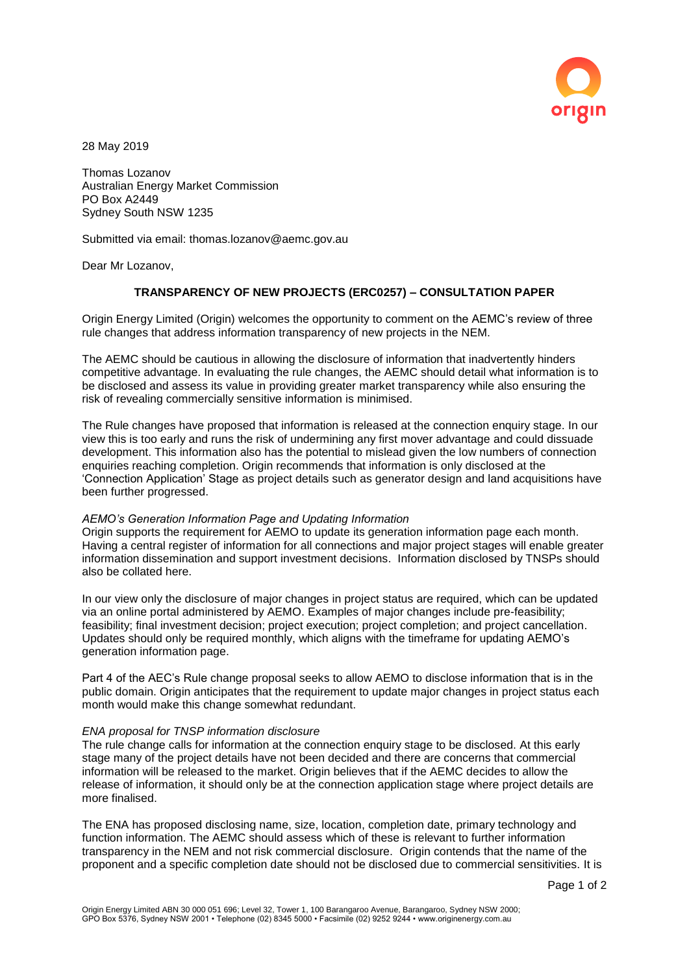

28 May 2019

Thomas Lozanov Australian Energy Market Commission PO Box A2449 Sydney South NSW 1235

Submitted via email: thomas.lozanov@aemc.gov.au

Dear Mr Lozanov,

## **TRANSPARENCY OF NEW PROJECTS (ERC0257) – CONSULTATION PAPER**

Origin Energy Limited (Origin) welcomes the opportunity to comment on the AEMC's review of three rule changes that address information transparency of new projects in the NEM.

The AEMC should be cautious in allowing the disclosure of information that inadvertently hinders competitive advantage. In evaluating the rule changes, the AEMC should detail what information is to be disclosed and assess its value in providing greater market transparency while also ensuring the risk of revealing commercially sensitive information is minimised.

The Rule changes have proposed that information is released at the connection enquiry stage. In our view this is too early and runs the risk of undermining any first mover advantage and could dissuade development. This information also has the potential to mislead given the low numbers of connection enquiries reaching completion. Origin recommends that information is only disclosed at the 'Connection Application' Stage as project details such as generator design and land acquisitions have been further progressed.

## *AEMO's Generation Information Page and Updating Information*

Origin supports the requirement for AEMO to update its generation information page each month. Having a central register of information for all connections and major project stages will enable greater information dissemination and support investment decisions. Information disclosed by TNSPs should also be collated here.

In our view only the disclosure of major changes in project status are required, which can be updated via an online portal administered by AEMO. Examples of major changes include pre-feasibility; feasibility; final investment decision; project execution; project completion; and project cancellation. Updates should only be required monthly, which aligns with the timeframe for updating AEMO's generation information page.

Part 4 of the AEC's Rule change proposal seeks to allow AEMO to disclose information that is in the public domain. Origin anticipates that the requirement to update major changes in project status each month would make this change somewhat redundant.

## *ENA proposal for TNSP information disclosure*

The rule change calls for information at the connection enquiry stage to be disclosed. At this early stage many of the project details have not been decided and there are concerns that commercial information will be released to the market. Origin believes that if the AEMC decides to allow the release of information, it should only be at the connection application stage where project details are more finalised.

The ENA has proposed disclosing name, size, location, completion date, primary technology and function information. The AEMC should assess which of these is relevant to further information transparency in the NEM and not risk commercial disclosure. Origin contends that the name of the proponent and a specific completion date should not be disclosed due to commercial sensitivities. It is